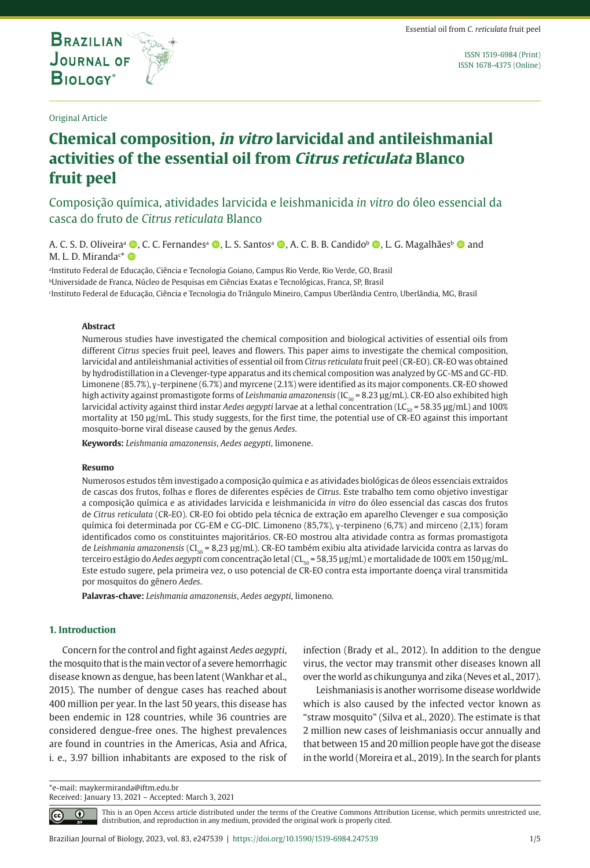**BRAZILIAN JOURNAL OF BIOLOGY** 

**THE INTERNATIONAL JOURNAL ON GLOBAL BIODIVERSITY AND ENVIRONMENT**

Original Article

ISSN 1519-6984 (Print) ISSN 1678-4375 (Online)

# **Chemical composition, in vitro larvicidal and antileishmanial activities of the essential oil from Citrus reticulata Blanco fruit peel**

Composição química, atividades larvicida e leishmanicida *in vitro* do óleo essencial da casca do fruto de *Citrus reticulata* Blanco

A. C. S. D. Oliveira<sup>a</sup> (D. C. C. Fernandes<sup>a</sup> (D. L. S. Santos<sup>a</sup> (D. A. C. B. B. Candido<sup>b</sup> (D. L. G. Magalhãesb <sup>6</sup> and M. L. D. Miranda<sup>c\*</sup> O

a Instituto Federal de Educação, Ciência e Tecnologia Goiano, Campus Rio Verde, Rio Verde, GO, Brasil bUniversidade de Franca, Núcleo de Pesquisas em Ciências Exatas e Tecnológicas, Franca, SP, Brasil c Instituto Federal de Educação, Ciência e Tecnologia do Triângulo Mineiro, Campus Uberlândia Centro, Uberlândia, MG, Brasil

#### **Abstract**

Numerous studies have investigated the chemical composition and biological activities of essential oils from different *Citrus* species fruit peel, leaves and flowers. This paper aims to investigate the chemical composition, larvicidal and antileishmanial activities of essential oil from *Citrus reticulata* fruit peel (CR-EO). CR-EO was obtained by hydrodistillation in a Clevenger-type apparatus and its chemical composition was analyzed by GC-MS and GC-FID. Limonene (85.7%), ɣ-terpinene (6.7%) and myrcene (2.1%) were identified as its major components. CR-EO showed high activity against promastigote forms of *Leishmania amazonensis* (IC<sub>50</sub> = 8.23 µg/mL). CR-EO also exhibited high larvicidal activity against third instar *Aedes aegypti* larvae at a lethal concentration (LC<sub>50</sub> = 58.35 µg/mL) and 100% mortality at 150 µg/mL. This study suggests, for the first time, the potential use of CR-EO against this important mosquito-borne viral disease caused by the genus *Aedes*.

**Keywords:** *Leishmania amazonensis*, *Aedes aegypti*, limonene.

#### **Resumo**

Numerosos estudos têm investigado a composição química e as atividades biológicas de óleos essenciais extraídos de cascas dos frutos, folhas e flores de diferentes espécies de *Citrus*. Este trabalho tem como objetivo investigar a composição química e as atividades larvicida e leishmanicida *in vitro* do óleo essencial das cascas dos frutos de *Citrus reticulata* (CR-EO). CR-EO foi obtido pela técnica de extração em aparelho Clevenger e sua composição química foi determinada por CG-EM e CG-DIC. Limoneno (85,7%), y-terpineno (6,7%) and mirceno (2,1%) foram identificados como os constituintes majoritários. CR-EO mostrou alta atividade contra as formas promastigota de Leishmania amazonensis (CI<sub>50</sub> = 8,23 µg/mL). CR-EO também exibiu alta atividade larvicida contra as larvas do terceiro estágio do *Aedes aegypti* com concentração letal (CL<sub>50</sub> = 58,35 µg/mL) e mortalidade de 100% em 150 µg/mL. Este estudo sugere, pela primeira vez, o uso potencial de CR-EO contra esta importante doença viral transmitida por mosquitos do gênero *Aedes*.

**Palavras-chave:** *Leishmania amazonensis*, *Aedes aegypti*, limoneno.

# **1. Introduction**

Concern for the control and fight against *Aedes aegypti*, the mosquito that is the main vector of a severe hemorrhagic disease known as dengue, has been latent (Wankhar et al., 2015). The number of dengue cases has reached about 400 million per year. In the last 50 years, this disease has been endemic in 128 countries, while 36 countries are considered dengue-free ones. The highest prevalences are found in countries in the Americas, Asia and Africa, i. e., 3.97 billion inhabitants are exposed to the risk of infection (Brady et al., 2012). In addition to the dengue virus, the vector may transmit other diseases known all over the world as chikungunya and zika (Neves et al., 2017).

Leishmaniasis is another worrisome disease worldwide which is also caused by the infected vector known as "straw mosquito" (Silva et al., 2020). The estimate is that 2 million new cases of leishmaniasis occur annually and that between 15 and 20 million people have got the disease in the world (Moreira et al., 2019). In the search for plants

\*e-mail: maykermiranda@iftm.edu.br Received: January 13, 2021 – Accepted: March 3, 2021

⋒

This is an Open Access article distributed under the terms of the Creative Commons Attribution License, which permits unrestricted use, distribution, and reproduction in any medium, provided the original work is properly cited.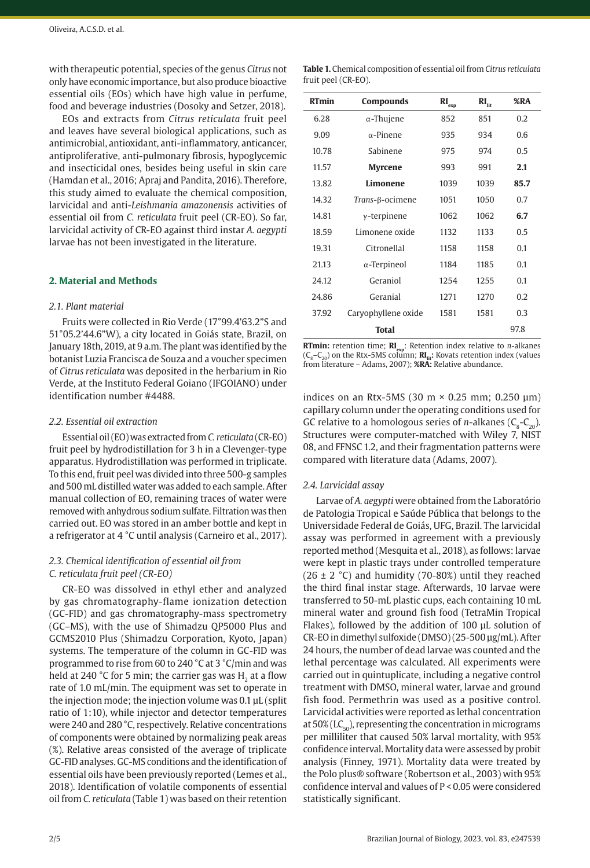with therapeutic potential, species of the genus *Citrus* not only have economic importance, but also produce bioactive essential oils (EOs) which have high value in perfume, food and beverage industries (Dosoky and Setzer, 2018).

EOs and extracts from *Citrus reticulata* fruit peel and leaves have several biological applications, such as antimicrobial, antioxidant, anti-inflammatory, anticancer, antiproliferative, anti-pulmonary fibrosis, hypoglycemic and insecticidal ones, besides being useful in skin care (Hamdan et al., 2016; Apraj and Pandita, 2016). Therefore, this study aimed to evaluate the chemical composition, larvicidal and anti-*Leishmania amazonensis* activities of essential oil from *C. reticulata* fruit peel (CR-EO). So far, larvicidal activity of CR-EO against third instar *A. aegypti* larvae has not been investigated in the literature.

# **2. Material and Methods**

#### *2.1. Plant material*

Fruits were collected in Rio Verde (17°99.4'63.2"S and 51°05.2'44.6"W), a city located in Goiás state, Brazil, on January 18th, 2019, at 9 a.m. The plant was identified by the botanist Luzia Francisca de Souza and a voucher specimen of *Citrus reticulata* was deposited in the herbarium in Rio Verde, at the Instituto Federal Goiano (IFGOIANO) under identification number #4488.

## *2.2. Essential oil extraction*

Essential oil (EO) was extracted from *C. reticulata* (CR-EO) fruit peel by hydrodistillation for 3 h in a Clevenger-type apparatus. Hydrodistillation was performed in triplicate. To this end, fruit peel was divided into three 500-g samples and 500 mL distilled water was added to each sample. After manual collection of EO, remaining traces of water were removed with anhydrous sodium sulfate. Filtration was then carried out. EO was stored in an amber bottle and kept in a refrigerator at 4 °C until analysis (Carneiro et al., 2017).

# *2.3. Chemical identification of essential oil from C. reticulata fruit peel (CR-EO)*

CR-EO was dissolved in ethyl ether and analyzed by gas chromatography-flame ionization detection (GC-FID) and gas chromatography-mass spectrometry (GC–MS), with the use of Shimadzu QP5000 Plus and GCMS2010 Plus (Shimadzu Corporation, Kyoto, Japan) systems. The temperature of the column in GC-FID was programmed to rise from 60 to 240 °C at 3 °C/min and was held at 240 °C for 5 min; the carrier gas was  $H<sub>2</sub>$  at a flow rate of 1.0 mL/min. The equipment was set to operate in the injection mode; the injection volume was 0.1 µL (split ratio of 1:10), while injector and detector temperatures were 240 and 280 °C, respectively. Relative concentrations of components were obtained by normalizing peak areas (%). Relative areas consisted of the average of triplicate GC-FID analyses. GC-MS conditions and the identification of essential oils have been previously reported (Lemes et al., 2018). Identification of volatile components of essential oil from *C. reticulata* (Table 1) was based on their retention

| <b>Table 1.</b> Chemical composition of essential oil from Citrus reticulata |  |
|------------------------------------------------------------------------------|--|
| fruit peel (CR-EO).                                                          |  |

| <b>RTmin</b> | Compounds                    | $\mathbf{RI}_{\rm exp}$ | $\mathbf{RI}_{\text{lit}}$ | %RA  |
|--------------|------------------------------|-------------------------|----------------------------|------|
| 6.28         | $\alpha$ -Thujene            | 852                     | 851                        | 0.2  |
| 9.09         | $\alpha$ -Pinene             | 935                     | 934                        | 0.6  |
| 10.78        | Sabinene                     | 975                     | 974                        | 0.5  |
| 11.57        | <b>Myrcene</b>               | 993                     | 991                        | 2.1  |
| 13.82        | Limonene                     | 1039                    | 1039                       | 85.7 |
| 14.32        | Trans- <sub>B</sub> -ocimene | 1051                    | 1050                       | 0.7  |
| 14.81        | $\gamma$ -terpinene          | 1062                    | 1062                       | 6.7  |
| 18.59        | Limonene oxide               | 1132                    | 1133                       | 0.5  |
| 19.31        | Citronellal                  | 1158                    | 1158                       | 0.1  |
| 21.13        | $\alpha$ -Terpineol          | 1184                    | 1185                       | 0.1  |
| 24.12        | Geraniol                     | 1254                    | 1255                       | 0.1  |
| 24.86        | Geranial                     | 1271                    | 1270                       | 0.2  |
| 37.92        | Caryophyllene oxide          | 1581                    | 1581                       | 0.3  |
|              | <b>Total</b>                 |                         |                            | 97.8 |

**RTmin:** retention time; **RI**<sub>exp</sub>: Retention index relative to *n*-alkanes  $(C_{\circ}-C_{\infty})$  on the Rtx-5MS column; **RI**<sub>lit</sub>: Kovats retention index (values from literature – Adams, 2007); **%RA:** Relative abundance.

indices on an Rtx-5MS (30 m  $\times$  0.25 mm; 0.250 µm) capillary column under the operating conditions used for GC relative to a homologous series of *n*-alkanes  $(C_8-C_2)$ . Structures were computer-matched with Wiley 7, NIST 08, and FFNSC 1.2, and their fragmentation patterns were compared with literature data (Adams, 2007).

#### *2.4. Larvicidal assay*

Larvae of *A. aegypti* were obtained from the Laboratório de Patologia Tropical e Saúde Pública that belongs to the Universidade Federal de Goiás, UFG, Brazil. The larvicidal assay was performed in agreement with a previously reported method (Mesquita et al., 2018), as follows: larvae were kept in plastic trays under controlled temperature  $(26 \pm 2 \degree C)$  and humidity (70-80%) until they reached the third final instar stage. Afterwards, 10 larvae were transferred to 50-mL plastic cups, each containing 10 mL mineral water and ground fish food (TetraMin Tropical Flakes), followed by the addition of 100 µL solution of CR-EO in dimethyl sulfoxide (DMSO) (25-500 µg/mL). After 24 hours, the number of dead larvae was counted and the lethal percentage was calculated. All experiments were carried out in quintuplicate, including a negative control treatment with DMSO, mineral water, larvae and ground fish food. Permethrin was used as a positive control. Larvicidal activities were reported as lethal concentration at  $50\%$  (LC<sub>50</sub>), representing the concentration in micrograms per milliliter that caused 50% larval mortality, with 95% confidence interval. Mortality data were assessed by probit analysis (Finney, 1971). Mortality data were treated by the Polo plus® software (Robertson et al., 2003) with 95% confidence interval and values of P < 0.05 were considered statistically significant.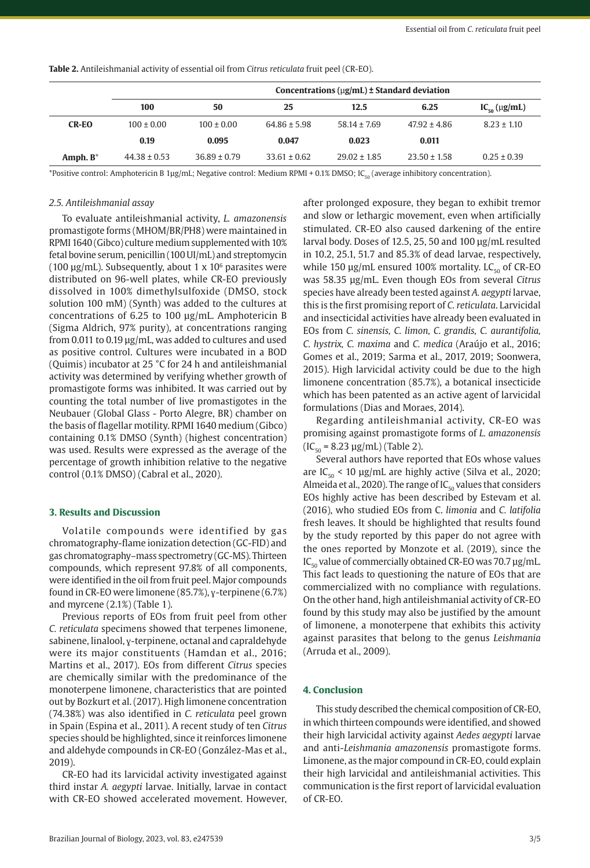|              | Concentrations ( $\mu$ g/mL) $\pm$ Standard deviation |                  |                  |                  |                  |                      |  |
|--------------|-------------------------------------------------------|------------------|------------------|------------------|------------------|----------------------|--|
|              | 100                                                   | 50               | 25               | 12.5             | 6.25             | $IC_{50} (\mu g/mL)$ |  |
| <b>CR-EO</b> | $100 \pm 0.00$                                        | $100 \pm 0.00$   | $64.86 \pm 5.98$ | $58.14 \pm 7.69$ | $47.92 \pm 4.86$ | $8.23 \pm 1.10$      |  |
|              | 0.19                                                  | 0.095            | 0.047            | 0.023            | 0.011            |                      |  |
| Amph. $B^*$  | $44.38 \pm 0.53$                                      | $36.89 \pm 0.79$ | $33.61 \pm 0.62$ | $29.02 \pm 1.85$ | $23.50 \pm 1.58$ | $0.25 \pm 0.39$      |  |

**Table 2.** Antileishmanial activity of essential oil from *Citrus reticulata* fruit peel (CR-EO).

\*Positive control: Amphotericin B 1µg/mL; Negative control: Medium RPMI + 0.1% DMSO; IC<sub>50</sub> (average inhibitory concentration).

## *2.5. Antileishmanial assay*

To evaluate antileishmanial activity, *L. amazonensis* promastigote forms (MHOM/BR/PH8) were maintained in RPMI 1640 (Gibco) culture medium supplemented with 10% fetal bovine serum, penicillin (100 UI/mL) and streptomycin (100  $\mu$ g/mL). Subsequently, about 1 x 10 $\delta$  parasites were distributed on 96-well plates, while CR-EO previously dissolved in 100% dimethylsulfoxide (DMSO, stock solution 100 mM) (Synth) was added to the cultures at concentrations of 6.25 to 100 µg/mL. Amphotericin B (Sigma Aldrich, 97% purity), at concentrations ranging from 0.011 to 0.19 µg/mL, was added to cultures and used as positive control. Cultures were incubated in a BOD (Quimis) incubator at 25 °C for 24 h and antileishmanial activity was determined by verifying whether growth of promastigote forms was inhibited. It was carried out by counting the total number of live promastigotes in the Neubauer (Global Glass - Porto Alegre, BR) chamber on the basis of flagellar motility. RPMI 1640 medium (Gibco) containing 0.1% DMSO (Synth) (highest concentration) was used. Results were expressed as the average of the percentage of growth inhibition relative to the negative control (0.1% DMSO) (Cabral et al., 2020).

## **3. Results and Discussion**

Volatile compounds were identified by gas chromatography-flame ionization detection (GC-FID) and gas chromatography–mass spectrometry (GC-MS). Thirteen compounds, which represent 97.8% of all components, were identified in the oil from fruit peel. Major compounds found in CR-EO were limonene (85.7%), ɣ-terpinene (6.7%) and myrcene (2.1%) (Table 1).

Previous reports of EOs from fruit peel from other *C. reticulata* specimens showed that terpenes limonene, sabinene, linalool, ɣ-terpinene, octanal and capraldehyde were its major constituents (Hamdan et al., 2016; Martins et al., 2017). EOs from different *Citrus* species are chemically similar with the predominance of the monoterpene limonene, characteristics that are pointed out by Bozkurt et al. (2017). High limonene concentration (74.38%) was also identified in *C. reticulata* peel grown in Spain (Espina et al., 2011). A recent study of ten *Citrus* species should be highlighted, since it reinforces limonene and aldehyde compounds in CR-EO (González-Mas et al., 2019).

CR-EO had its larvicidal activity investigated against third instar *A. aegypti* larvae. Initially, larvae in contact with CR-EO showed accelerated movement. However,

after prolonged exposure, they began to exhibit tremor and slow or lethargic movement, even when artificially stimulated. CR-EO also caused darkening of the entire larval body. Doses of 12.5, 25, 50 and 100 µg/mL resulted in 10.2, 25.1, 51.7 and 85.3% of dead larvae, respectively, while 150  $\mu$ g/mL ensured 100% mortality. LC<sub>50</sub> of CR-EO was 58.35 µg/mL. Even though EOs from several *Citrus* species have already been tested against *A. aegypti* larvae, this is the first promising report of *C. reticulata*. Larvicidal and insecticidal activities have already been evaluated in EOs from *C. sinensis, C. limon, C. grandis, C. aurantifolia, C. hystrix, C. maxima* and *C. medica* (Araújo et al., 2016; Gomes et al., 2019; Sarma et al., 2017, 2019; Soonwera, 2015). High larvicidal activity could be due to the high limonene concentration (85.7%), a botanical insecticide which has been patented as an active agent of larvicidal formulations (Dias and Moraes, 2014).

Regarding antileishmanial activity, CR-EO was promising against promastigote forms of *L. amazonensis*  $(IC_{50} = 8.23 \text{ µg/mL})$  (Table 2).

Several authors have reported that EOs whose values are  $IC_{50}$  < 10  $\mu$ g/mL are highly active (Silva et al., 2020; Almeida et al., 2020). The range of  $IC_{50}$  values that considers EOs highly active has been described by Estevam et al. (2016), who studied EOs from C. *limonia* and *C. latifolia* fresh leaves. It should be highlighted that results found by the study reported by this paper do not agree with the ones reported by Monzote et al. (2019), since the  $IC_{50}$  value of commercially obtained CR-EO was 70.7 µg/mL. This fact leads to questioning the nature of EOs that are commercialized with no compliance with regulations. On the other hand, high antileishmanial activity of CR-EO found by this study may also be justified by the amount of limonene, a monoterpene that exhibits this activity against parasites that belong to the genus *Leishmania* (Arruda et al., 2009).

## **4. Conclusion**

This study described the chemical composition of CR-EO, in which thirteen compounds were identified, and showed their high larvicidal activity against *Aedes aegypti* larvae and anti-*Leishmania amazonensis* promastigote forms. Limonene, as the major compound in CR-EO, could explain their high larvicidal and antileishmanial activities. This communication is the first report of larvicidal evaluation of CR-EO.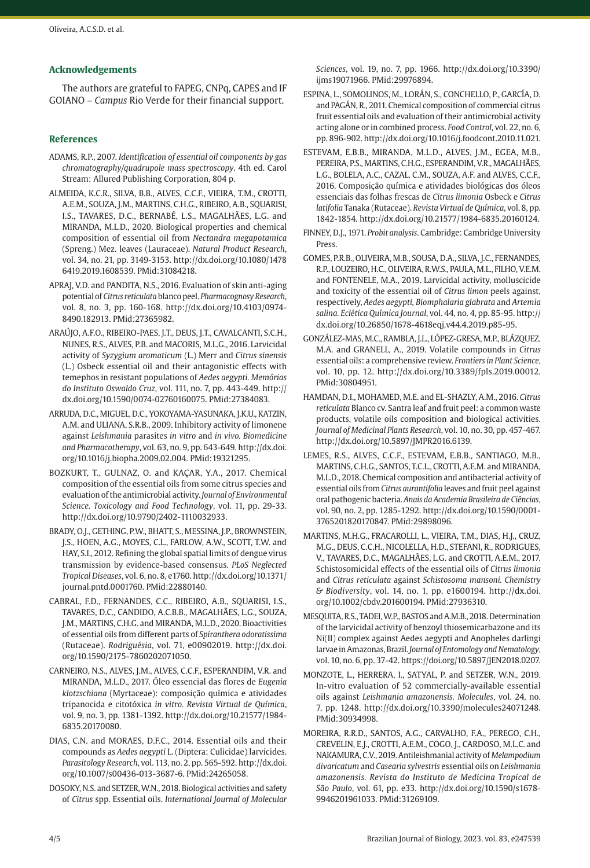# **Acknowledgements**

The authors are grateful to FAPEG, CNPq, CAPES and IF GOIANO – *Campus* Rio Verde for their financial support.

# **References**

- ADAMS, R.P., 2007. *Identification of essential oil components by gas chromatography/quadrupole mass spectroscopy*. 4th ed. Carol Stream: Allured Publishing Corporation, 804 p.
- ALMEIDA, K.C.R., SILVA, B.B., ALVES, C.C.F., VIEIRA, T.M., CROTTI, A.E.M., SOUZA, J.M., MARTINS, C.H.G., RIBEIRO, A.B., SQUARISI, I.S., TAVARES, D.C., BERNABÉ, L.S., MAGALHÃES, L.G. and MIRANDA, M.L.D., 2020. Biological properties and chemical composition of essential oil from *Nectandra megapotamica* (Spreng.) Mez. leaves (Lauraceae). *Natural Product Research*, vol. 34, no. 21, pp. 3149-3153. [http://dx.doi.org/10.1080/1478](https://doi.org/10.1080/14786419.2019.1608539) [6419.2019.1608539](https://doi.org/10.1080/14786419.2019.1608539)[. PMid:31084218.](https://www.ncbi.nlm.nih.gov/entrez/query.fcgi?cmd=Retrieve&db=PubMed&list_uids=31084218&dopt=Abstract)
- APRAJ, V.D. and PANDITA, N.S., 2016. Evaluation of skin anti-aging potential of *Citrus reticulata* blanco peel. *Pharmacognosy Research*, vol. 8, no. 3, pp. 160-168. [http://dx.doi.org/10.4103/0974-](https://doi.org/10.4103/0974-8490.182913) [8490.182913](https://doi.org/10.4103/0974-8490.182913). [PMid:27365982.](https://www.ncbi.nlm.nih.gov/entrez/query.fcgi?cmd=Retrieve&db=PubMed&list_uids=27365982&dopt=Abstract)
- ARAÚJO, A.F.O., RIBEIRO-PAES, J.T., DEUS, J.T., CAVALCANTI, S.C.H., NUNES, R.S., ALVES, P.B. and MACORIS, M.L.G., 2016. Larvicidal activity of *Syzygium aromaticum* (L.) Merr and *Citrus sinensis* (L.) Osbeck essential oil and their antagonistic effects with temephos in resistant populations of *Aedes aegypti. Memórias do Instituto Oswaldo Cruz*, vol. 111, no. 7, pp. 443-449. [http://](https://doi.org/10.1590/0074-02760160075) [dx.doi.org/10.1590/0074-02760160075](https://doi.org/10.1590/0074-02760160075)[. PMid:27384083.](https://www.ncbi.nlm.nih.gov/entrez/query.fcgi?cmd=Retrieve&db=PubMed&list_uids=27384083&dopt=Abstract)
- ARRUDA, D.C., MIGUEL, D.C., YOKOYAMA-YASUNAKA, J.K.U., KATZIN, A.M. and ULIANA, S.R.B., 2009. Inhibitory activity of limonene against *Leishmania* parasites *in vitro* and *in vivo. Biomedicine and Pharmacotherapy*, vol. 63, no. 9, pp. 643-649. [http://dx.doi.](https://doi.org/10.1016/j.biopha.2009.02.004) [org/10.1016/j.biopha.2009.02.004](https://doi.org/10.1016/j.biopha.2009.02.004). [PMid:19321295.](https://www.ncbi.nlm.nih.gov/entrez/query.fcgi?cmd=Retrieve&db=PubMed&list_uids=19321295&dopt=Abstract)
- BOZKURT, T., GULNAZ, O. and KAÇAR, Y.A., 2017. Chemical composition of the essential oils from some citrus species and evaluation of the antimicrobial activity. *Journal of Environmental Science. Toxicology and Food Technology*, vol. 11, pp. 29-33. http://dx.doi.org/10.9790/2402-1110032933.
- BRADY, O.J., GETHING, P.W., BHATT, S., MESSINA, J.P., BROWNSTEIN, J.S., HOEN, A.G., MOYES, C.L., FARLOW, A.W., SCOTT, T.W. and HAY, S.I., 2012. Refining the global spatial limits of dengue virus transmission by evidence-based consensus. *PLoS Neglected Tropical Diseases*, vol. 6, no. 8, e1760. [http://dx.doi.org/10.1371/](https://doi.org/10.1371/journal.pntd.0001760) [journal.pntd.0001760](https://doi.org/10.1371/journal.pntd.0001760). [PMid:22880140.](https://www.ncbi.nlm.nih.gov/entrez/query.fcgi?cmd=Retrieve&db=PubMed&list_uids=22880140&dopt=Abstract)
- CABRAL, F.D., FERNANDES, C.C., RIBEIRO, A.B., SQUARISI, I.S., TAVARES, D.C., CANDIDO, A.C.B.B., MAGALHÃES, L.G., SOUZA, J.M., MARTINS, C.H.G. and MIRANDA, M.L.D., 2020. Bioactivities of essential oils from different parts of *Spiranthera odoratissima* (Rutaceae). *Rodriguésia*, vol. 71, e00902019. [http://dx.doi.](https://doi.org/10.1590/2175-7860202071050) [org/10.1590/2175-7860202071050.](https://doi.org/10.1590/2175-7860202071050)
- CARNEIRO, N.S., ALVES, J.M., ALVES, C.C.F., ESPERANDIM, V.R. and MIRANDA, M.L.D., 2017. Óleo essencial das flores de *Eugenia klotzschiana* (Myrtaceae): composição química e atividades tripanocida e citotóxica *in vitro. Revista Virtual de Química*, vol. 9, no. 3, pp. 1381-1392. [http://dx.doi.org/10.21577/1984-](https://doi.org/10.21577/1984-6835.20170080) [6835.20170080](https://doi.org/10.21577/1984-6835.20170080).
- DIAS, C.N. and MORAES, D.F.C., 2014. Essential oils and their compounds as *Aedes aegypti* L. (Diptera: Culicidae) larvicides. *Parasitology Research*, vol. 113, no. 2, pp. 565-592. [http://dx.doi.](https://doi.org/10.1007/s00436-013-3687-6) [org/10.1007/s00436-013-3687-6.](https://doi.org/10.1007/s00436-013-3687-6) [PMid:24265058.](https://www.ncbi.nlm.nih.gov/entrez/query.fcgi?cmd=Retrieve&db=PubMed&list_uids=24265058&dopt=Abstract)
- DOSOKY, N.S. and SETZER, W.N., 2018. Biological activities and safety of *Citrus* spp. Essential oils. *International Journal of Molecular*

*Sciences*, vol. 19, no. 7, pp. 1966. [http://dx.doi.org/10.3390/](https://doi.org/10.3390/ijms19071966) [ijms19071966](https://doi.org/10.3390/ijms19071966). [PMid:29976894.](https://www.ncbi.nlm.nih.gov/entrez/query.fcgi?cmd=Retrieve&db=PubMed&list_uids=29976894&dopt=Abstract)

- ESPINA, L., SOMOLINOS, M., LORÁN, S., CONCHELLO, P., GARCÍA, D. and PAGÁN, R., 2011. Chemical composition of commercial citrus fruit essential oils and evaluation of their antimicrobial activity acting alone or in combined process. *Food Control*, vol. 22, no. 6, pp. 896-902. [http://dx.doi.org/10.1016/j.foodcont.2010.11.021](https://doi.org/10.1016/j.foodcont.2010.11.021).
- ESTEVAM, E.B.B., MIRANDA, M.L.D., ALVES, J.M., EGEA, M.B., PEREIRA, P.S., MARTINS, C.H.G., ESPERANDIM, V.R., MAGALHÃES, L.G., BOLELA, A.C., CAZAL, C.M., SOUZA, A.F. and ALVES, C.C.F., 2016. Composição química e atividades biológicas dos óleos essenciais das folhas frescas de *Citrus limonia* Osbeck e *Citrus latifolia* Tanaka (Rutaceae). *Revista Virtual de Química*, vol. 8, pp. 1842-1854. [http://dx.doi.org/10.21577/1984-6835.20160124.](https://doi.org/10.21577/1984-6835.20160124)
- FINNEY, D.J., 1971. *Probit analysis*. Cambridge: Cambridge University Press.
- GOMES, P.R.B., OLIVEIRA, M.B., SOUSA, D.A., SILVA, J.C., FERNANDES, R.P., LOUZEIRO, H.C., OLIVEIRA, R.W.S., PAULA, M.L., FILHO, V.E.M. and FONTENELE, M.A., 2019. Larvicidal activity, molluscicide and toxicity of the essential oil of *Citrus limon* peels against, respectively, *Aedes aegypti, Biomphalaria glabrata* and *Artemia salina. Eclética Química Journal*, vol. 44, no. 4, pp. 85-95. [http://](https://doi.org/10.26850/1678-4618eqj.v44.4.2019.p85-95) [dx.doi.org/10.26850/1678-4618eqj.v44.4.2019.p85-95.](https://doi.org/10.26850/1678-4618eqj.v44.4.2019.p85-95)
- GONZÁLEZ-MAS, M.C., RAMBLA, J.L., LÓPEZ-GRESA, M.P., BLÁZQUEZ, M.A. and GRANELL, A., 2019. Volatile compounds in *Citrus* essential oils: a comprehensive review. *Frontiers in Plant Science*, vol. 10, pp. 12. [http://dx.doi.org/10.3389/fpls.2019.00012](https://doi.org/10.3389/fpls.2019.00012). [PMid:30804951.](https://www.ncbi.nlm.nih.gov/entrez/query.fcgi?cmd=Retrieve&db=PubMed&list_uids=30804951&dopt=Abstract)
- HAMDAN, D.I., MOHAMED, M.E. and EL-SHAZLY, A.M., 2016. *Citrus reticulata* Blanco cv. Santra leaf and fruit peel: a common waste products, volatile oils composition and biological activities. *Journal of Medicinal Plants Research*, vol. 10, no. 30, pp. 457-467. [http://dx.doi.org/10.5897/JMPR2016.6139.](https://doi.org/10.5897/JMPR2016.6139)
- LEMES, R.S., ALVES, C.C.F., ESTEVAM, E.B.B., SANTIAGO, M.B., MARTINS, C.H.G., SANTOS, T.C.L., CROTTI, A.E.M. and MIRANDA, M.L.D., 2018. Chemical composition and antibacterial activity of essential oils from *Citrus aurantifolia* leaves and fruit peel against oral pathogenic bacteria. *Anais da Academia Brasileira de Ciências*, vol. 90, no. 2, pp. 1285-1292. [http://dx.doi.org/10.1590/0001-](https://doi.org/10.1590/0001-3765201820170847) [3765201820170847.](https://doi.org/10.1590/0001-3765201820170847) [PMid:29898096.](https://www.ncbi.nlm.nih.gov/entrez/query.fcgi?cmd=Retrieve&db=PubMed&list_uids=29898096&dopt=Abstract)
- MARTINS, M.H.G., FRACAROLLI, L., VIEIRA, T.M., DIAS, H.J., CRUZ, M.G., DEUS, C.C.H., NICOLELLA, H.D., STEFANI, R., RODRIGUES, V., TAVARES, D.C., MAGALHÃES, L.G. and CROTTI, A.E.M., 2017. Schistosomicidal effects of the essential oils of *Citrus limonia* and *Citrus reticulata* against *Schistosoma mansoni. Chemistry & Biodiversity*, vol. 14, no. 1, pp. e1600194. [http://dx.doi.](https://doi.org/10.1002/cbdv.201600194) [org/10.1002/cbdv.201600194.](https://doi.org/10.1002/cbdv.201600194) [PMid:27936310.](https://www.ncbi.nlm.nih.gov/entrez/query.fcgi?cmd=Retrieve&db=PubMed&list_uids=27936310&dopt=Abstract)
- MESQUITA, R.S., TADEI, W.P., BASTOS and A.M.B., 2018. Determination of the larvicidal activity of benzoyl thiosemicarbazone and its Ni(II) complex against Aedes aegypti and Anopheles darlingi larvae in Amazonas, Brazil. *Journal of Entomology and Nematology*, vol. 10, no. 6, pp. 37-42.<https://doi.org/10.5897/JEN2018.0207>.
- MONZOTE, L., HERRERA, I., SATYAL, P. and SETZER, W.N., 2019. In-vitro evaluation of 52 commercially-available essential oils against *Leishmania amazonensis. Molecules*, vol. 24, no. 7, pp. 1248. [http://dx.doi.org/10.3390/molecules24071248](https://doi.org/10.3390/molecules24071248). [PMid:30934998.](https://www.ncbi.nlm.nih.gov/entrez/query.fcgi?cmd=Retrieve&db=PubMed&list_uids=30934998&dopt=Abstract)
- MOREIRA, R.R.D., SANTOS, A.G., CARVALHO, F.A., PEREGO, C.H., CREVELIN, E.J., CROTTI, A.E.M., COGO, J., CARDOSO, M.L.C. and NAKAMURA, C.V., 2019. Antileishmanial activity of *Melampodium divaricatum* and *Casearia sylvestris* essential oils on *Leishmania amazonensis. Revista do Instituto de Medicina Tropical de São Paulo*, vol. 61, pp. e33. [http://dx.doi.org/10.1590/s1678-](https://doi.org/10.1590/s1678-9946201961033) [9946201961033](https://doi.org/10.1590/s1678-9946201961033)[. PMid:31269109.](https://www.ncbi.nlm.nih.gov/entrez/query.fcgi?cmd=Retrieve&db=PubMed&list_uids=31269109&dopt=Abstract)